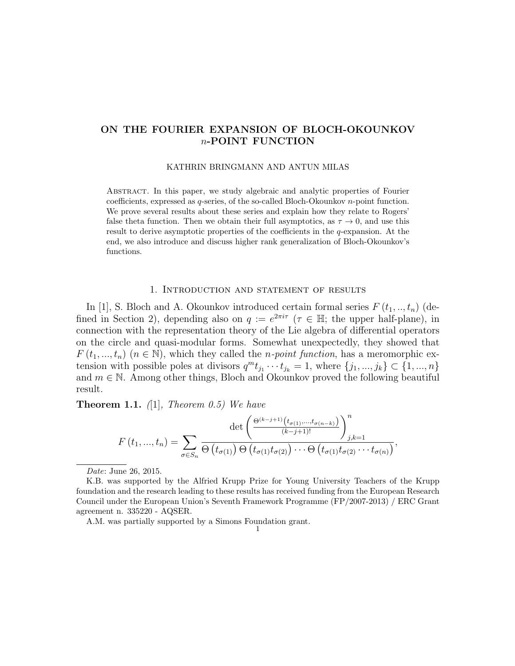# ON THE FOURIER EXPANSION OF BLOCH-OKOUNKOV n-POINT FUNCTION

#### KATHRIN BRINGMANN AND ANTUN MILAS

Abstract. In this paper, we study algebraic and analytic properties of Fourier coefficients, expressed as  $q$ -series, of the so-called Bloch-Okounkov  $n$ -point function. We prove several results about these series and explain how they relate to Rogers' false theta function. Then we obtain their full asymptotics, as  $\tau \to 0$ , and use this result to derive asymptotic properties of the coefficients in the  $q$ -expansion. At the end, we also introduce and discuss higher rank generalization of Bloch-Okounkov's functions.

#### 1. Introduction and statement of results

In [1], S. Bloch and A. Okounkov introduced certain formal series  $F(t_1, ..., t_n)$  (defined in Section 2), depending also on  $q := e^{2\pi i \tau}$  ( $\tau \in \mathbb{H}$ ; the upper half-plane), in connection with the representation theory of the Lie algebra of differential operators on the circle and quasi-modular forms. Somewhat unexpectedly, they showed that  $F(t_1, ..., t_n)$   $(n \in \mathbb{N})$ , which they called the *n-point function*, has a meromorphic extension with possible poles at divisors  $q^m t_{j_1} \cdots t_{j_k} = 1$ , where  $\{j_1, ..., j_k\} \subset \{1, ..., n\}$ and  $m \in \mathbb{N}$ . Among other things, Bloch and Okounkov proved the following beautiful result.

**Theorem 1.1.** (1), Theorem 0.5) We have

$$
F(t_1, ..., t_n) = \sum_{\sigma \in S_n} \frac{\det \left( \frac{\Theta^{(k-j+1)}(t_{\sigma(1)}, ..., t_{\sigma(n-k)})}{(k-j+1)!} \right)_{j,k=1}^n}{\Theta(t_{\sigma(1)}) \Theta(t_{\sigma(1)}t_{\sigma(2)}) \cdots \Theta(t_{\sigma(1)}t_{\sigma(2)} \cdots t_{\sigma(n)})},
$$

A.M. was partially supported by a Simons Foundation grant. 1

Date: June 26, 2015.

K.B. was supported by the Alfried Krupp Prize for Young University Teachers of the Krupp foundation and the research leading to these results has received funding from the European Research Council under the European Union's Seventh Framework Programme (FP/2007-2013) / ERC Grant agreement n. 335220 - AQSER.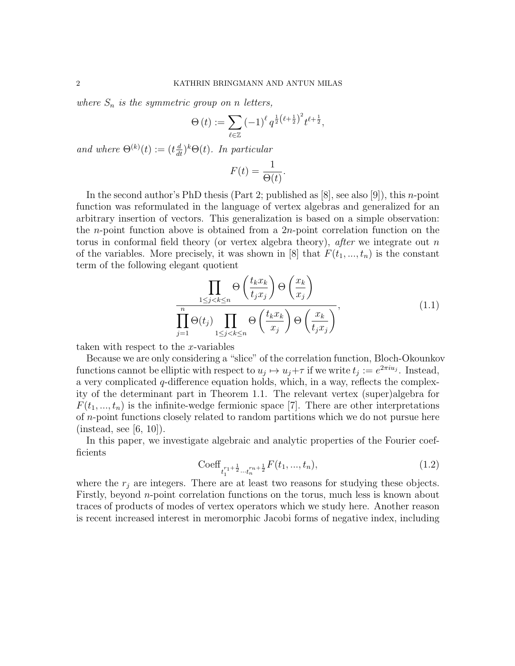where  $S_n$  is the symmetric group on n letters,

$$
\Theta(t) := \sum_{\ell \in \mathbb{Z}} (-1)^{\ell} q^{\frac{1}{2} (\ell + \frac{1}{2})^2} t^{\ell + \frac{1}{2}},
$$

and where  $\Theta^{(k)}(t) := (t \frac{d}{dt})^k \Theta(t)$ . In particular

$$
F(t) = \frac{1}{\Theta(t)}.
$$

In the second author's PhD thesis (Part 2; published as  $[8]$ , see also  $[9]$ ), this *n*-point function was reformulated in the language of vertex algebras and generalized for an arbitrary insertion of vectors. This generalization is based on a simple observation: the *n*-point function above is obtained from a 2*n*-point correlation function on the torus in conformal field theory (or vertex algebra theory), *after* we integrate out n of the variables. More precisely, it was shown in [8] that  $F(t_1, ..., t_n)$  is the constant term of the following elegant quotient

$$
\prod_{1 \le j < k \le n} \Theta\left(\frac{t_k x_k}{t_j x_j}\right) \Theta\left(\frac{x_k}{x_j}\right)
$$
\n
$$
\prod_{j=1}^n \Theta(t_j) \prod_{1 \le j < k \le n} \Theta\left(\frac{t_k x_k}{x_j}\right) \Theta\left(\frac{x_k}{t_j x_j}\right),\tag{1.1}
$$

taken with respect to the  $x$ -variables

Because we are only considering a "slice" of the correlation function, Bloch-Okounkov functions cannot be elliptic with respect to  $u_j \mapsto u_j + \tau$  if we write  $t_j := e^{2\pi i u_j}$ . Instead, a very complicated q-difference equation holds, which, in a way, reflects the complexity of the determinant part in Theorem 1.1. The relevant vertex (super)algebra for  $F(t_1, ..., t_n)$  is the infinite-wedge fermionic space [7]. There are other interpretations of n-point functions closely related to random partitions which we do not pursue here  $(instead, see [6, 10]).$ 

In this paper, we investigate algebraic and analytic properties of the Fourier coefficients

$$
\text{Coeff}_{t_1^{r_1 + \frac{1}{2}} \cdots t_n^{r_n + \frac{1}{2}}} F(t_1, ..., t_n), \tag{1.2}
$$

where the  $r_i$  are integers. There are at least two reasons for studying these objects. Firstly, beyond n-point correlation functions on the torus, much less is known about traces of products of modes of vertex operators which we study here. Another reason is recent increased interest in meromorphic Jacobi forms of negative index, including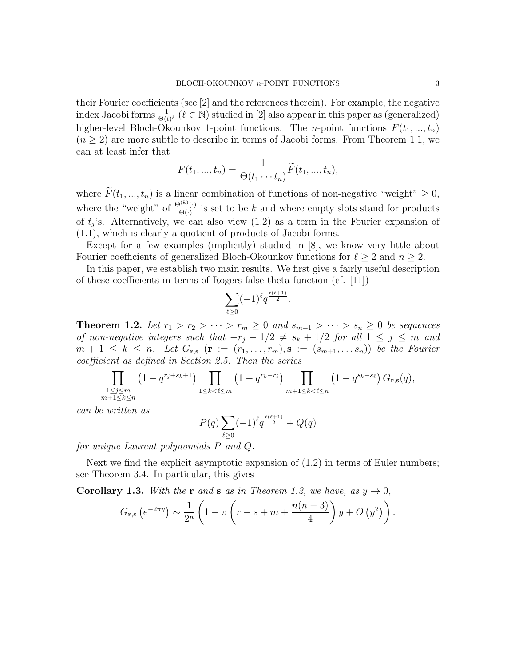their Fourier coefficients (see [2] and the references therein). For example, the negative index Jacobi forms  $\frac{1}{\Theta(t)^{\ell}}$   $(\ell \in \mathbb{N})$  studied in [2] also appear in this paper as (generalized) higher-level Bloch-Okounkov 1-point functions. The *n*-point functions  $F(t_1, ..., t_n)$  $(n \geq 2)$  are more subtle to describe in terms of Jacobi forms. From Theorem 1.1, we can at least infer that

$$
F(t_1, ..., t_n) = \frac{1}{\Theta(t_1 \cdots t_n)} \widetilde{F}(t_1, ..., t_n),
$$

where  $\widetilde{F}(t_1, ..., t_n)$  is a linear combination of functions of non-negative "weight"  $\geq 0$ , where the "weight" of  $\frac{\Theta^{(k)}(\cdot)}{\Theta^{(k)}}$  $\frac{\partial P(t)}{\partial(t)}$  is set to be k and where empty slots stand for products of  $t_j$ 's. Alternatively, we can also view  $(1.2)$  as a term in the Fourier expansion of (1.1), which is clearly a quotient of products of Jacobi forms.

Except for a few examples (implicitly) studied in [8], we know very little about Fourier coefficients of generalized Bloch-Okounkov functions for  $\ell \geq 2$  and  $n \geq 2$ .

In this paper, we establish two main results. We first give a fairly useful description of these coefficients in terms of Rogers false theta function (cf. [11])

$$
\sum_{\ell\geq 0}(-1)^\ell q^{\frac{\ell(\ell+1)}{2}}.
$$

**Theorem 1.2.** Let  $r_1 > r_2 > \cdots > r_m \geq 0$  and  $s_{m+1} > \cdots > s_n \geq 0$  be sequences of non-negative integers such that  $-r_j - 1/2 \neq s_k + 1/2$  for all  $1 \leq j \leq m$  and  $m + 1 \leq k \leq n$ . Let  $G_{\mathbf{r},\mathbf{s}}$   $(\mathbf{r} := (r_1,\ldots,r_m), \mathbf{s} := (s_{m+1},\ldots,s_n))$  be the Fourier coefficient as defined in Section 2.5. Then the series

$$
\prod_{\substack{1 \le j \le m \\ m+1 \le k \le n}} \left(1 - q^{r_j + s_k + 1}\right) \prod_{1 \le k < \ell \le m} \left(1 - q^{r_k - r_\ell}\right) \prod_{m+1 \le k < \ell \le n} \left(1 - q^{s_k - s_\ell}\right) G_{\mathbf{r}, \mathbf{s}}(q),
$$

can be written as

$$
P(q) \sum_{\ell \ge 0} (-1)^{\ell} q^{\frac{\ell(\ell+1)}{2}} + Q(q)
$$

for unique Laurent polynomials P and Q.

Next we find the explicit asymptotic expansion of  $(1.2)$  in terms of Euler numbers; see Theorem 3.4. In particular, this gives

**Corollary 1.3.** With the **r** and **s** as in Theorem 1.2, we have, as  $y \rightarrow 0$ ,

$$
G_{\mathbf{r},\mathbf{s}}\left(e^{-2\pi y}\right) \sim \frac{1}{2^n} \left(1 - \pi \left(r - s + m + \frac{n(n-3)}{4}\right)y + O\left(y^2\right)\right).
$$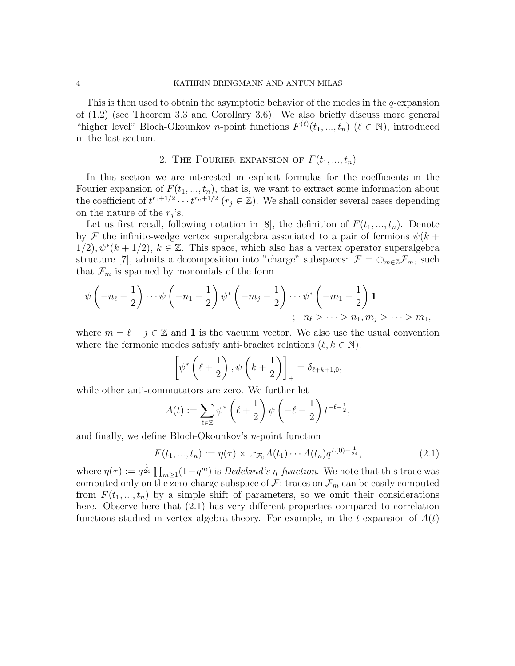This is then used to obtain the asymptotic behavior of the modes in the  $q$ -expansion of (1.2) (see Theorem 3.3 and Corollary 3.6). We also briefly discuss more general "higher level" Bloch-Okounkov n-point functions  $F^{(\ell)}(t_1, ..., t_n)$  ( $\ell \in \mathbb{N}$ ), introduced in the last section.

## 2. THE FOURIER EXPANSION OF  $F(t_1, ..., t_n)$

In this section we are interested in explicit formulas for the coefficients in the Fourier expansion of  $F(t_1, ..., t_n)$ , that is, we want to extract some information about the coefficient of  $t^{r_1+1/2} \cdots t^{r_n+1/2}$   $(r_j \in \mathbb{Z})$ . We shall consider several cases depending on the nature of the  $r_j$ 's.

Let us first recall, following notation in [8], the definition of  $F(t_1, ..., t_n)$ . Denote by F the infinite-wedge vertex superalgebra associated to a pair of fermions  $\psi(k +$  $1/2, \psi^*(k+1/2), k \in \mathbb{Z}$ . This space, which also has a vertex operator superalgebra structure [7], admits a decomposition into "charge" subspaces:  $\mathcal{F} = \bigoplus_{m \in \mathbb{Z}} \mathcal{F}_m$ , such that  $\mathcal{F}_m$  is spanned by monomials of the form

$$
\psi\left(-n_{\ell}-\frac{1}{2}\right)\cdots\psi\left(-n_{1}-\frac{1}{2}\right)\psi^{*}\left(-m_{j}-\frac{1}{2}\right)\cdots\psi^{*}\left(-m_{1}-\frac{1}{2}\right)\mathbf{1}
$$
  

$$
\vdots n_{\ell} > \cdots > n_{1}, m_{j} > \cdots > m_{1},
$$

where  $m = \ell - j \in \mathbb{Z}$  and 1 is the vacuum vector. We also use the usual convention where the fermonic modes satisfy anti-bracket relations  $(\ell, k \in \mathbb{N})$ :

$$
\left[\psi^*\left(\ell+\frac{1}{2}\right),\psi\left(k+\frac{1}{2}\right)\right]_+ = \delta_{\ell+k+1,0},
$$

while other anti-commutators are zero. We further let

$$
A(t) := \sum_{\ell \in \mathbb{Z}} \psi^* \left( \ell + \frac{1}{2} \right) \psi \left( -\ell - \frac{1}{2} \right) t^{-\ell - \frac{1}{2}},
$$

and finally, we define Bloch-Okounkov's n-point function

$$
F(t_1, ..., t_n) := \eta(\tau) \times \text{tr}_{\mathcal{F}_0} A(t_1) \cdots A(t_n) q^{L(0) - \frac{1}{24}},
$$
\n(2.1)

where  $\eta(\tau) := q^{\frac{1}{24}} \prod_{m \geq 1} (1 - q^m)$  is *Dedekind's*  $\eta$ -function. We note that this trace was computed only on the zero-charge subspace of  $\mathcal{F}$ ; traces on  $\mathcal{F}_m$  can be easily computed from  $F(t_1, ..., t_n)$  by a simple shift of parameters, so we omit their considerations here. Observe here that (2.1) has very different properties compared to correlation functions studied in vertex algebra theory. For example, in the t-expansion of  $A(t)$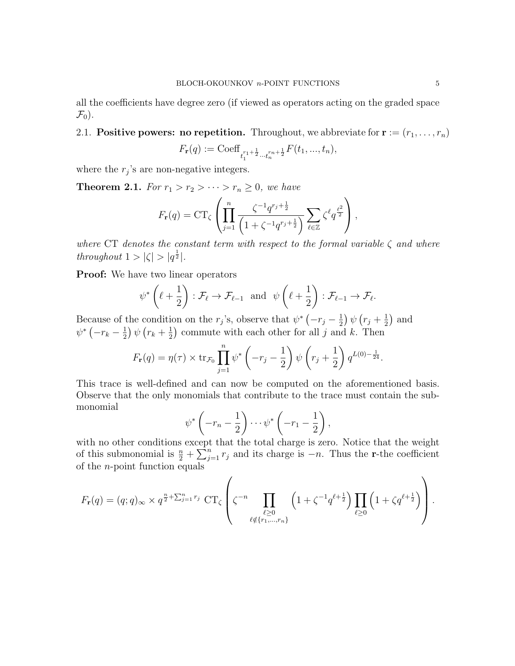all the coefficients have degree zero (if viewed as operators acting on the graded space  $\mathcal{F}_0$ ).

# 2.1. Positive powers: no repetition. Throughout, we abbreviate for  $\mathbf{r} := (r_1, \ldots, r_n)$

$$
F_{\mathbf{r}}(q) := \text{Coeff}_{t_1^{r_1 + \frac{1}{2}} \dots t_n^{r_n + \frac{1}{2}}} F(t_1, ..., t_n),
$$

where the  $r_j$ 's are non-negative integers.

**Theorem 2.1.** For  $r_1 > r_2 > \cdots > r_n \geq 0$ , we have

$$
F_{\mathbf{r}}(q) = \mathrm{CT}_{\zeta} \left( \prod_{j=1}^{n} \frac{\zeta^{-1} q^{r_j + \frac{1}{2}}}{\left( 1 + \zeta^{-1} q^{r_j + \frac{1}{2}} \right)} \sum_{\ell \in \mathbb{Z}} \zeta^{\ell} q^{\frac{\ell^2}{2}} \right),
$$

where CT denotes the constant term with respect to the formal variable  $\zeta$  and where throughout  $1 > |\zeta| > |q^{\frac{1}{2}}|$ .

Proof: We have two linear operators

$$
\psi^* \left( \ell + \frac{1}{2} \right) : \mathcal{F}_\ell \to \mathcal{F}_{\ell-1} \text{ and } \psi \left( \ell + \frac{1}{2} \right) : \mathcal{F}_{\ell-1} \to \mathcal{F}_\ell.
$$

Because of the condition on the  $r_j$ 's, observe that  $\psi^*(-r_j - \frac{1}{2})$  $\frac{1}{2}$ )  $\psi(r_j + \frac{1}{2})$  $\frac{1}{2}$  and  $\psi^*\left(-r_k-\frac{1}{2}\right)$  $\frac{1}{2}$ )  $\psi(r_k + \frac{1}{2})$  $\frac{1}{2}$  commute with each other for all j and k. Then

$$
F_{\mathbf{r}}(q) = \eta(\tau) \times \text{tr}_{\mathcal{F}_0} \prod_{j=1}^n \psi^* \left( -r_j - \frac{1}{2} \right) \psi \left( r_j + \frac{1}{2} \right) q^{L(0) - \frac{1}{24}}.
$$

This trace is well-defined and can now be computed on the aforementioned basis. Observe that the only monomials that contribute to the trace must contain the submonomial

$$
\psi^* \left( -r_n - \frac{1}{2} \right) \cdots \psi^* \left( -r_1 - \frac{1}{2} \right),
$$

with no other conditions except that the total charge is zero. Notice that the weight of this submonomial is  $\frac{n}{2} + \sum_{j=1}^{n} r_j$  and its charge is  $-n$ . Thus the r-the coefficient of the n-point function equals

$$
F_{\mathbf{r}}(q) = (q;q)_{\infty} \times q^{\frac{n}{2} + \sum_{j=1}^{n} r_j} \operatorname{CT}_{\zeta} \left( \zeta^{-n} \prod_{\substack{\ell \geq 0 \\ \ell \notin \{r_1, \dots, r_n\}}} \left( 1 + \zeta^{-1} q^{\ell + \frac{1}{2}} \right) \prod_{\ell \geq 0} \left( 1 + \zeta q^{\ell + \frac{1}{2}} \right) \right).
$$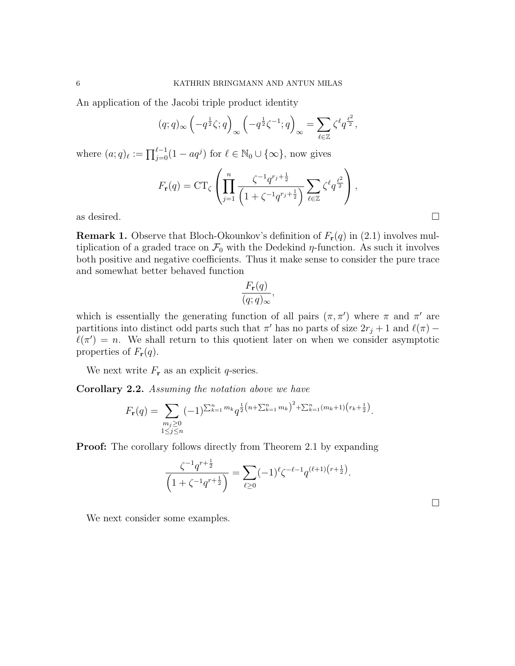An application of the Jacobi triple product identity

$$
(q;q)_{\infty} \left(-q^{\frac{1}{2}}\zeta;q\right)_{\infty} \left(-q^{\frac{1}{2}}\zeta^{-1};q\right)_{\infty} = \sum_{\ell \in \mathbb{Z}} \zeta^{\ell} q^{\frac{\ell^2}{2}},
$$

where  $(a;q)_\ell := \prod_{j=0}^{\ell-1} (1 - aq^j)$  for  $\ell \in \mathbb{N}_0 \cup \{\infty\}$ , now gives

$$
F_{\mathbf{r}}(q) = \mathrm{CT}_{\zeta} \left( \prod_{j=1}^{n} \frac{\zeta^{-1} q^{r_j + \frac{1}{2}}}{\left( 1 + \zeta^{-1} q^{r_j + \frac{1}{2}} \right)} \sum_{\ell \in \mathbb{Z}} \zeta^{\ell} q^{\frac{\ell^2}{2}} \right),
$$

as desired.  $\Box$ 

**Remark 1.** Observe that Bloch-Okounkov's definition of  $F_{\mathbf{r}}(q)$  in (2.1) involves multiplication of a graded trace on  $\mathcal{F}_0$  with the Dedekind  $\eta$ -function. As such it involves both positive and negative coefficients. Thus it make sense to consider the pure trace and somewhat better behaved function

$$
\frac{F_{\mathbf{r}}(q)}{(q;q)_{\infty}},
$$

which is essentially the generating function of all pairs  $(\pi, \pi')$  where  $\pi$  and  $\pi'$  are partitions into distinct odd parts such that  $\pi'$  has no parts of size  $2r_j + 1$  and  $\ell(\pi)$  –  $\ell(\pi') = n$ . We shall return to this quotient later on when we consider asymptotic properties of  $F_{\mathbf{r}}(q)$ .

We next write  $F_{\bf r}$  as an explicit q-series.

Corollary 2.2. Assuming the notation above we have

$$
F_{\mathbf{r}}(q) = \sum_{\substack{m_j \ge 0 \\ 1 \le j \le n}} (-1)^{\sum_{k=1}^n m_k} q^{\frac{1}{2}(n + \sum_{k=1}^n m_k)^2 + \sum_{k=1}^n (m_k + 1)(r_k + \frac{1}{2})}.
$$

**Proof:** The corollary follows directly from Theorem 2.1 by expanding

$$
\frac{\zeta^{-1}q^{r+\frac{1}{2}}}{\left(1+\zeta^{-1}q^{r+\frac{1}{2}}\right)} = \sum_{\ell \ge 0} (-1)^{\ell} \zeta^{-\ell-1} q^{(\ell+1)\left(r+\frac{1}{2}\right)}.
$$

 $\Box$ 

We next consider some examples.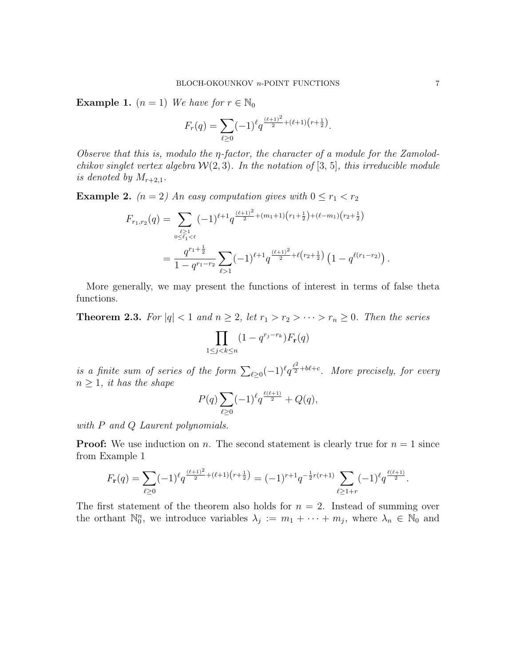**Example 1.**  $(n = 1)$  We have for  $r \in \mathbb{N}_0$ 

$$
F_r(q) = \sum_{\ell \ge 0} (-1)^{\ell} q^{\frac{(\ell+1)^2}{2} + (\ell+1)(r+\frac{1}{2})}.
$$

Observe that this is, modulo the η-factor, the character of a module for the Zamolodchikov singlet vertex algebra  $W(2,3)$ . In the notation of [3, 5], this irreducible module is denoted by  $M_{r+2,1}$ .

Example 2.  $(n = 2)$  An easy computation gives with  $0 \le r_1 < r_2$ 

$$
F_{r_1,r_2}(q) = \sum_{\substack{\ell \ge 1 \\ 0 \le \ell_1 < \ell}} (-1)^{\ell+1} q^{\frac{(\ell+1)^2}{2} + (m_1+1)(r_1 + \frac{1}{2}) + (\ell - m_1)(r_2 + \frac{1}{2})}
$$
  
= 
$$
\frac{q^{r_1 + \frac{1}{2}}}{1 - q^{r_1 - r_2}} \sum_{\ell > 1} (-1)^{\ell+1} q^{\frac{(\ell+1)^2}{2} + \ell(r_2 + \frac{1}{2})} (1 - q^{\ell(r_1 - r_2)})
$$

More generally, we may present the functions of interest in terms of false theta functions.

**Theorem 2.3.** For  $|q| < 1$  and  $n \geq 2$ , let  $r_1 > r_2 > \cdots > r_n \geq 0$ . Then the series

$$
\prod_{1 \le j < k \le n} (1 - q^{r_j - r_k}) F_{\mathbf{r}}(q)
$$

is a finite sum of series of the form  $\sum_{\ell \geq 0} (-1)^{\ell} q^{\frac{\ell^2}{2} + b\ell + c}$ . More precisely, for every  $n \geq 1$ , it has the shape

$$
P(q) \sum_{\ell \ge 0} (-1)^{\ell} q^{\frac{\ell(\ell+1)}{2}} + Q(q),
$$

with P and Q Laurent polynomials.

**Proof:** We use induction on n. The second statement is clearly true for  $n = 1$  since from Example 1

$$
F_{\mathbf{r}}(q) = \sum_{\ell \ge 0} (-1)^{\ell} q^{\frac{(\ell+1)^2}{2} + (\ell+1)(r+\frac{1}{2})} = (-1)^{r+1} q^{-\frac{1}{2}r(r+1)} \sum_{\ell \ge 1+r} (-1)^{\ell} q^{\frac{\ell(\ell+1)}{2}}.
$$

The first statement of the theorem also holds for  $n = 2$ . Instead of summing over the orthant  $\mathbb{N}_0^n$ , we introduce variables  $\lambda_j := m_1 + \cdots + m_j$ , where  $\lambda_n \in \mathbb{N}_0$  and

.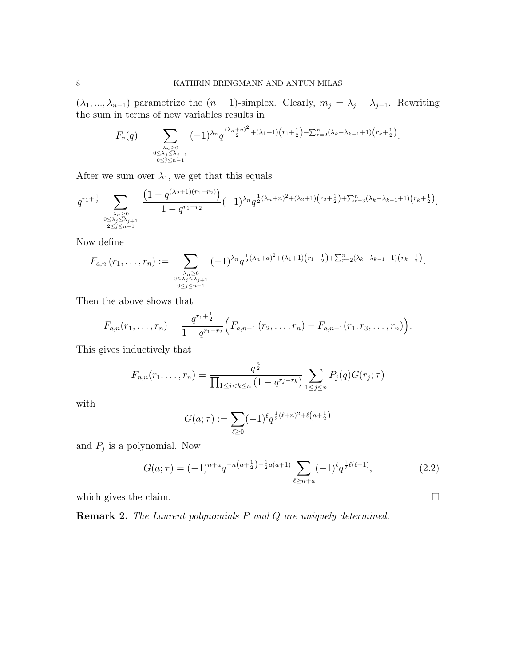$(\lambda_1, ..., \lambda_{n-1})$  parametrize the  $(n-1)$ -simplex. Clearly,  $m_j = \lambda_j - \lambda_{j-1}$ . Rewriting the sum in terms of new variables results in

$$
F_{\mathbf{r}}(q) = \sum_{\substack{\lambda_n \geq 0 \\ 0 \leq \lambda_j \leq \lambda_{j+1} \\ 0 \leq j \leq n-1}} (-1)^{\lambda_n} q^{\frac{(\lambda_n + n)^2}{2} + (\lambda_1 + 1)(r_1 + \frac{1}{2}) + \sum_{r=2}^n (\lambda_k - \lambda_{k-1} + 1)(r_k + \frac{1}{2})}.
$$

After we sum over  $\lambda_1$ , we get that this equals

$$
q^{r_1+\frac{1}{2}}\sum_{\substack{\lambda_n\geq 0\\0\leq \lambda_j\leq \lambda_{j+1}\\2\leq j\leq n-1}}\frac{\left(1-q^{(\lambda_2+1)(r_1-r_2)}\right)}{1-q^{r_1-r_2}}(-1)^{\lambda_n}q^{\frac{1}{2}(\lambda_n+n)^2+(\lambda_2+1)\left(r_2+\frac{1}{2}\right)+\sum_{r=3}^n(\lambda_k-\lambda_{k-1}+1)\left(r_k+\frac{1}{2}\right)}.
$$

Now define

$$
F_{a,n}(r_1,\ldots,r_n) := \sum_{\substack{\lambda_n \geq 0 \\ 0 \leq \lambda_j \leq \lambda_{j+1} \\ 0 \leq j \leq n-1}} (-1)^{\lambda_n} q^{\frac{1}{2}(\lambda_n + a)^2 + (\lambda_1 + 1)(r_1 + \frac{1}{2}) + \sum_{r=2}^n (\lambda_k - \lambda_{k-1} + 1)(r_k + \frac{1}{2})}.
$$

Then the above shows that

$$
F_{a,n}(r_1,\ldots,r_n)=\frac{q^{r_1+\frac{1}{2}}}{1-q^{r_1-r_2}}\Big(F_{a,n-1}(r_2,\ldots,r_n)-F_{a,n-1}(r_1,r_3,\ldots,r_n)\Big).
$$

This gives inductively that

$$
F_{n,n}(r_1,\ldots,r_n) = \frac{q^{\frac{n}{2}}}{\prod_{1 \le j < k \le n} (1 - q^{r_j - r_k})} \sum_{1 \le j \le n} P_j(q) G(r_j; \tau)
$$

with

$$
G(a; \tau) := \sum_{\ell \ge 0} (-1)^{\ell} q^{\frac{1}{2}(\ell+n)^2 + \ell(a+\frac{1}{2})}
$$

and  $P_j$  is a polynomial. Now

$$
G(a; \tau) = (-1)^{n+a} q^{-n(a+\frac{1}{2}) - \frac{1}{2}a(a+1)} \sum_{\ell \ge n+a} (-1)^{\ell} q^{\frac{1}{2}\ell(\ell+1)}, \qquad (2.2)
$$

which gives the claim.  $\Box$ 

Remark 2. The Laurent polynomials  $P$  and  $Q$  are uniquely determined.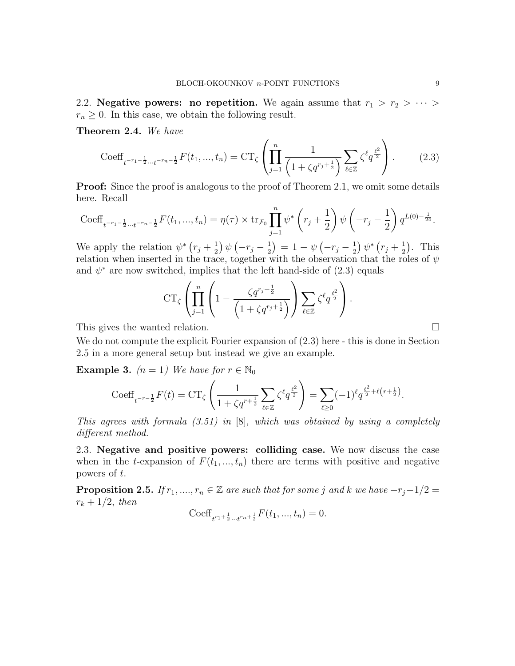2.2. Negative powers: no repetition. We again assume that  $r_1 > r_2 > \cdots >$  $r_n \geq 0$ . In this case, we obtain the following result.

Theorem 2.4. We have

$$
\text{Coeff}_{t^{-r_1 - \frac{1}{2}} \dots t^{-r_n - \frac{1}{2}}} F(t_1, ..., t_n) = \text{CT}_{\zeta} \left( \prod_{j=1}^n \frac{1}{\left( 1 + \zeta q^{r_j + \frac{1}{2}} \right)} \sum_{\ell \in \mathbb{Z}} \zeta^{\ell} q^{\frac{\ell^2}{2}} \right). \tag{2.3}
$$

**Proof:** Since the proof is analogous to the proof of Theorem 2.1, we omit some details here. Recall

$$
\text{Coeff}_{t^{-r_1-\frac{1}{2}}\cdots t^{-r_n-\frac{1}{2}}}F(t_1,...,t_n) = \eta(\tau) \times \text{tr}_{\mathcal{F}_0} \prod_{j=1}^n \psi^* \left(r_j + \frac{1}{2}\right) \psi \left(-r_j - \frac{1}{2}\right) q^{L(0) - \frac{1}{24}}.
$$

We apply the relation  $\psi^* (r_j + \frac{1}{2})$  $\frac{1}{2}$ )  $\psi$   $\left(-r_j-\frac{1}{2}\right)$  $\left(\frac{1}{2}\right) \,=\, 1\,-\psi\,\big(\!-\!r_j-\frac{1}{2}\big)$  $(\frac{1}{2}) \psi^* (r_j + \frac{1}{2})$  $(\frac{1}{2})$ . This relation when inserted in the trace, together with the observation that the roles of  $\psi$ and  $\psi^*$  are now switched, implies that the left hand-side of  $(2.3)$  equals

$$
\operatorname{CT}_{\zeta} \left( \prod_{j=1}^{n} \left( 1 - \frac{\zeta q^{r_j + \frac{1}{2}}}{\left( 1 + \zeta q^{r_j + \frac{1}{2}} \right)} \right) \sum_{\ell \in \mathbb{Z}} \zeta^{\ell} q^{\frac{\ell^2}{2}} \right).
$$

This gives the wanted relation.

We do not compute the explicit Fourier expansion of (2.3) here - this is done in Section 2.5 in a more general setup but instead we give an example.

**Example 3.**  $(n = 1)$  We have for  $r \in \mathbb{N}_0$ 

$$
\text{Coeff}_{t^{-r-\frac{1}{2}}}F(t) = \text{CT}_{\zeta} \left( \frac{1}{1 + \zeta q^{r+\frac{1}{2}}} \sum_{\ell \in \mathbb{Z}} \zeta^{\ell} q^{\frac{\ell^2}{2}} \right) = \sum_{\ell \ge 0} (-1)^{\ell} q^{\frac{\ell^2}{2} + \ell(r+\frac{1}{2})}.
$$

This agrees with formula  $(3.51)$  in  $[8]$ , which was obtained by using a completely different method.

2.3. Negative and positive powers: colliding case. We now discuss the case when in the t-expansion of  $F(t_1, ..., t_n)$  there are terms with positive and negative powers of t.

**Proposition 2.5.** If  $r_1, ..., r_n \in \mathbb{Z}$  are such that for some j and k we have  $-r_j-1/2 =$  $r_k + 1/2$ , then

Coeff<sub>t<sup>r1+ $\frac{1}{2} ... t^{n+\frac{1}{2}} F(t_1, ..., t_n) = 0.$ </sub></sup>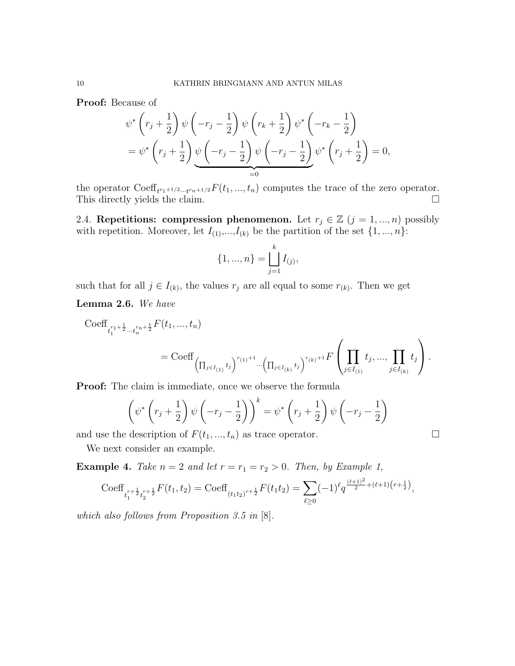Proof: Because of

$$
\psi^* \left( r_j + \frac{1}{2} \right) \psi \left( -r_j - \frac{1}{2} \right) \psi \left( r_k + \frac{1}{2} \right) \psi^* \left( -r_k - \frac{1}{2} \right)
$$
  
= 
$$
\psi^* \left( r_j + \frac{1}{2} \right) \underbrace{\psi \left( -r_j - \frac{1}{2} \right)}_{=0} \psi \left( -r_j - \frac{1}{2} \right) \psi^* \left( r_j + \frac{1}{2} \right) = 0,
$$

the operator  $\text{Coeff}_{t^{r_1+1/2}\cdots t^{r_n+1/2}}F(t_1,\ldots,t_n)$  computes the trace of the zero operator. This directly yields the claim.

2.4. Repetitions: compression phenomenon. Let  $r_j \in \mathbb{Z}$   $(j = 1, ..., n)$  possibly with repetition. Moreover, let  $I_{(1)},...,I_{(k)}$  be the partition of the set  $\{1,...,n\}$ :

$$
\{1, ..., n\} = \bigsqcup_{j=1}^{k} I_{(j)},
$$

such that for all  $j \in I_{(k)}$ , the values  $r_j$  are all equal to some  $r_{(k)}$ . Then we get

Lemma 2.6. We have

Coeff<sub>t<sub>1</sub><sup>r<sub>1</sub>+
$$
\frac{1}{2}
$$
...t<sub>n</sub><sup>r<sub>n</sub>+ $\frac{1}{2}$</sup>  $F(t_1,...,t_n)$   
= Coeff $\left(\prod_{j\in I_{(1)}} t_j\right)^{r_{(1)}+1} \cdot \cdot \cdot \left(\prod_{j\in I_{(k)}} t_j\right)^{r_{(k)}+1} F\left(\prod_{j\in I_{(1)}} t_j,..., \prod_{j\in I_{(k)}} t_j\right).$</sup></sub> 

**Proof:** The claim is immediate, once we observe the formula

$$
\left(\psi^* \left(r_j + \frac{1}{2}\right) \psi \left(-r_j - \frac{1}{2}\right)\right)^k = \psi^* \left(r_j + \frac{1}{2}\right) \psi \left(-r_j - \frac{1}{2}\right)
$$

and use the description of  $F(t_1, ..., t_n)$  as trace operator.

We next consider an example.

**Example 4.** Take  $n = 2$  and let  $r = r_1 = r_2 > 0$ . Then, by Example 1,

Coeff<sub>t<sub>1</sub><sup>r+1</sup> 
$$
\frac{1}{2} t_2^{r+1} F(t_1, t_2) = \text{Coeff}_{(t_1 t_2)^{r+1}} F(t_1 t_2) = \sum_{\ell \ge 0} (-1)^{\ell} q^{\frac{(\ell+1)^2}{2} + (\ell+1)(r+\frac{1}{2})},
$$</sub>

which also follows from Proposition 3.5 in [8].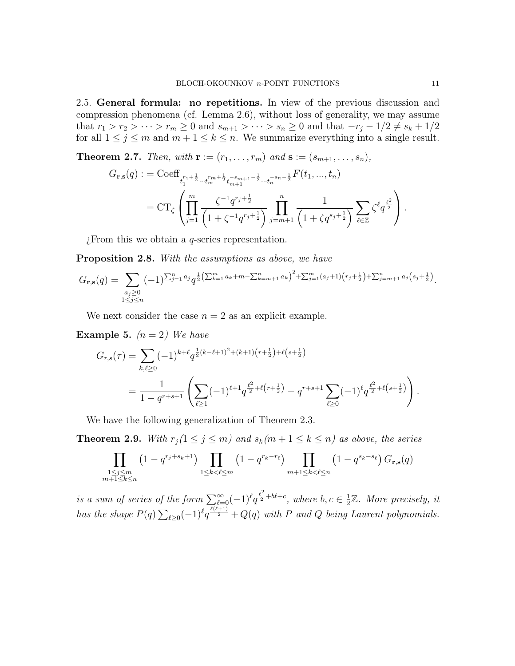2.5. General formula: no repetitions. In view of the previous discussion and compression phenomena (cf. Lemma 2.6), without loss of generality, we may assume that  $r_1 > r_2 > \cdots > r_m \ge 0$  and  $s_{m+1} > \cdots > s_n \ge 0$  and that  $-r_j - 1/2 \neq s_k + 1/2$ for all  $1 \leq j \leq m$  and  $m + 1 \leq k \leq n$ . We summarize everything into a single result.

**Theorem 2.7.** Then, with  $\mathbf{r} := (r_1, \ldots, r_m)$  and  $\mathbf{s} := (s_{m+1}, \ldots, s_n)$ ,

$$
G_{\mathbf{r},\mathbf{s}}(q) := \text{Coeff}_{t_1^{r_1 + \frac{1}{2}} \cdots t_m^{r_m + \frac{1}{2}} t_{m+1}^{-s_{m+1} - \frac{1}{2}} \cdots t_n^{-s_n - \frac{1}{2}} F(t_1, ..., t_n)
$$
  
= 
$$
\text{CT}_{\zeta} \left( \prod_{j=1}^m \frac{\zeta^{-1} q^{r_j + \frac{1}{2}}}{\left(1 + \zeta^{-1} q^{r_j + \frac{1}{2}}\right)} \prod_{j=m+1}^n \frac{1}{\left(1 + \zeta q^{s_j + \frac{1}{2}}\right)} \sum_{\ell \in \mathbb{Z}} \zeta^{\ell} q^{\frac{\ell^2}{2}} \right).
$$

 $i$ . From this we obtain a q-series representation.

Proposition 2.8. With the assumptions as above, we have

$$
G_{\mathbf{r},\mathbf{s}}(q) = \sum_{\substack{a_j \ge 0 \\ 1 \le j \le n}} (-1)^{\sum_{j=1}^n a_j} q^{\frac{1}{2} (\sum_{k=1}^m a_k + m - \sum_{k=m+1}^n a_k)^2 + \sum_{j=1}^m (a_j + 1) (r_j + \frac{1}{2}) + \sum_{j=m+1}^n a_j (s_j + \frac{1}{2})}.
$$

We next consider the case  $n = 2$  as an explicit example.

**Example 5.**  $(n = 2)$  We have

$$
G_{r,s}(\tau) = \sum_{k,\ell \ge 0} (-1)^{k+\ell} q^{\frac{1}{2}(k-\ell+1)^2 + (k+1)(r+\frac{1}{2}) + \ell(s+\frac{1}{2})}
$$
  
= 
$$
\frac{1}{1-q^{r+s+1}} \left( \sum_{\ell \ge 1} (-1)^{\ell+1} q^{\frac{\ell^2}{2}+\ell(r+\frac{1}{2})} - q^{r+s+1} \sum_{\ell \ge 0} (-1)^{\ell} q^{\frac{\ell^2}{2}+\ell(s+\frac{1}{2})} \right).
$$

We have the following generalization of Theorem 2.3.

**Theorem 2.9.** With  $r_j (1 \leq j \leq m)$  and  $s_k (m+1 \leq k \leq n)$  as above, the series

$$
\prod_{\substack{1 \le j \le m \\ m+1 \le k \le n}} \left(1 - q^{r_j + s_k + 1}\right) \prod_{1 \le k < \ell \le m} \left(1 - q^{r_k - r_\ell}\right) \prod_{m+1 \le k < \ell \le n} \left(1 - q^{s_k - s_\ell}\right) G_{\mathbf{r},\mathbf{s}}(q)
$$

is a sum of series of the form  $\sum_{\ell=0}^{\infty} (-1)^{\ell} q^{\frac{\ell^2}{2} + b\ell + c}$ , where  $b, c \in \frac{1}{2}$  $\frac{1}{2}\mathbb{Z}$ . More precisely, it has the shape  $P(q) \sum_{\ell \geq 0} (-1)^{\ell} q^{\frac{\ell(\ell+1)}{2}} + Q(q)$  with P and Q being Laurent polynomials.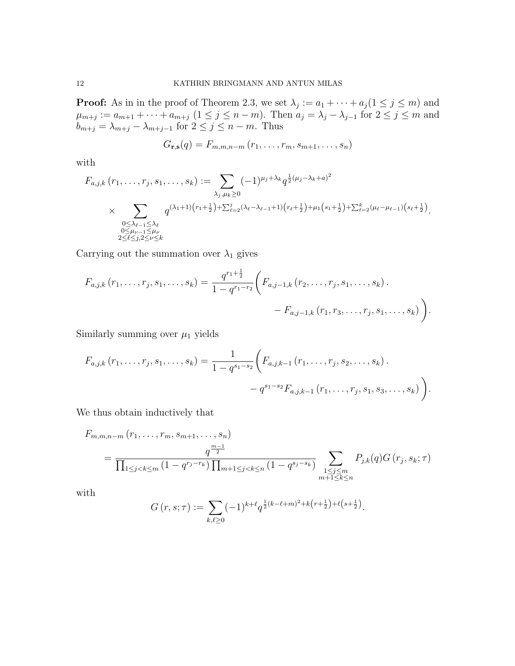**Proof:** As in in the proof of Theorem 2.3, we set  $\lambda_j := a_1 + \cdots + a_j (1 \leq j \leq m)$  and  $\mu_{m+j} := a_{m+1} + \cdots + a_{m+j} \ (1 \leq j \leq n-m)$ . Then  $a_j = \lambda_j - \lambda_{j-1}$  for  $2 \leq j \leq m$  and  $b_{m+j} = \lambda_{m+j} - \lambda_{m+j-1}$  for  $2 \leq j \leq n-m$ . Thus

$$
G_{\mathbf{r},\mathbf{s}}(q)=F_{m,m,n-m}(r_1,\ldots,r_m,s_{m+1},\ldots,s_n)
$$

with

$$
F_{a,j,k}(r_1,\ldots,r_j,s_1,\ldots,s_k) := \sum_{\substack{\lambda_j,\mu_k \geq 0 \\ \lambda_j,\mu_k \geq 0}} (-1)^{\mu_j + \lambda_k} q^{\frac{1}{2}(\mu_j - \lambda_k + a)^2}
$$
  
 
$$
\times \sum_{\substack{0 \leq \lambda_{\ell-1} \leq \lambda_{\ell} \\ 0 \leq \mu_{\nu-1} \leq \mu_{\nu}}} q^{(\lambda_1+1)(r_1+\frac{1}{2}) + \sum_{\ell=2}^j (\lambda_\ell - \lambda_{\ell-1} + 1)(r_\ell + \frac{1}{2}) + \mu_1(s_1+\frac{1}{2}) + \sum_{\ell=2}^k (\mu_\ell - \mu_{\ell-1})(s_\ell+\frac{1}{2})}.
$$

Carrying out the summation over  $\lambda_1$  gives

$$
F_{a,j,k}(r_1,\ldots,r_j,s_1,\ldots,s_k) = \frac{q^{r_1+\frac{1}{2}}}{1-q^{r_1-r_2}} \bigg(F_{a,j-1,k}(r_2,\ldots,r_j,s_1,\ldots,s_k)\cdot - F_{a,j-1,k}(r_1,r_3,\ldots,r_j,s_1,\ldots,s_k)\bigg).
$$

Similarly summing over  $\mu_1$  yields

$$
F_{a,j,k}(r_1,\ldots,r_j,s_1,\ldots,s_k) = \frac{1}{1-q^{s_1-s_2}} \bigg(F_{a,j,k-1}(r_1,\ldots,r_j,s_2,\ldots,s_k)\cdot -q^{s_1-s_2}F_{a,j,k-1}(r_1,\ldots,r_j,s_1,s_3,\ldots,s_k)\bigg).
$$

We thus obtain inductively that

$$
F_{m,m,n-m}(r_1,\ldots,r_m,s_{m+1},\ldots,s_n)
$$
  
= 
$$
\frac{q^{\frac{m-1}{2}}}{\prod_{1\leq j < k \leq m} (1-q^{r_j-r_k}) \prod_{m+1 \leq j < k \leq n} (1-q^{s_j-s_k})} \sum_{\substack{1 \leq j \leq m \\ m+1 \leq k \leq n}} P_{j,k}(q) G(r_j,s_k;\tau)
$$

with

$$
G(r,s;\tau) := \sum_{k,\ell \ge 0} (-1)^{k+\ell} q^{\frac{1}{2}(k-\ell+m)^2 + k(r+\frac{1}{2}) + \ell(s+\frac{1}{2})}.
$$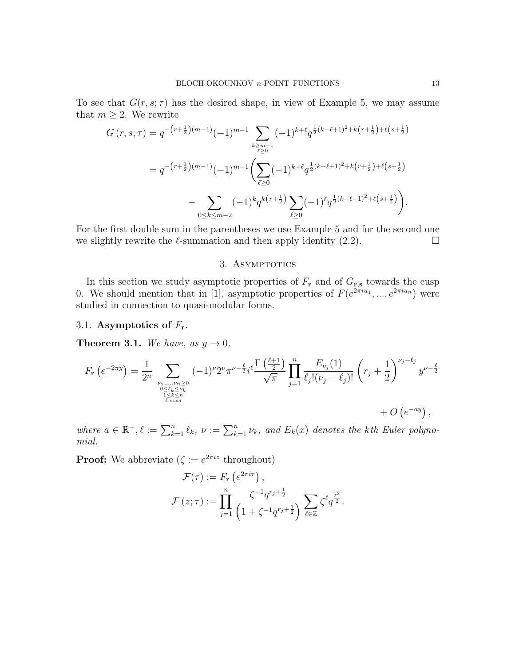To see that  $G(r, s; \tau)$  has the desired shape, in view of Example 5, we may assume that  $m \geq 2$ . We rewrite

$$
G(r,s;\tau) = q^{-(r+\frac{1}{2})(m-1)}(-1)^{m-1} \sum_{\substack{k \ge m-1 \\ \ell \ge 0}} (-1)^{k+\ell} q^{\frac{1}{2}(k-\ell+1)^2 + k(r+\frac{1}{2}) + \ell(s+\frac{1}{2})}
$$
  

$$
= q^{-(r+\frac{1}{2})(m-1)}(-1)^{m-1} \left( \sum_{\ell \ge 0} (-1)^{k+\ell} q^{\frac{1}{2}(k-\ell+1)^2 + k(r+\frac{1}{2}) + \ell(s+\frac{1}{2})} - \sum_{0 \le k \le m-2} (-1)^k q^{k(r+\frac{1}{2})} \sum_{\ell \ge 0} (-1)^{\ell} q^{\frac{1}{2}(k-\ell+1)^2 + \ell(s+\frac{1}{2})} \right).
$$

For the first double sum in the parentheses we use Example 5 and for the second one we slightly rewrite the  $\ell$ -summation and then apply identity (2.2).

### 3. ASYMPTOTICS

In this section we study asymptotic properties of  $F_r$  and of  $G_{r,s}$  towards the cusp 0. We should mention that in [1], asymptotic properties of  $F(e^{2\pi i u_1},...,e^{2\pi i u_n})$  were studied in connection to quasi-modular forms.

## 3.1. Asymptotics of  $F_r$ .

**Theorem 3.1.** We have, as  $y \rightarrow 0$ ,

$$
F_{\mathbf{r}}\left(e^{-2\pi y}\right) = \frac{1}{2^n} \sum_{\substack{\nu_1, \dots, \nu_n \geq 0 \\ 0 \leq \ell_k \leq \nu_k \\ \ell \text{ even}}} (-1)^{\nu} 2^{\nu} \pi^{\nu - \frac{\ell}{2}} i^{\ell} \frac{\Gamma\left(\frac{\ell+1}{2}\right)}{\sqrt{\pi}} \prod_{j=1}^n \frac{E_{\nu_j}(1)}{\ell_j! (\nu_j - \ell_j)!} \left(r_j + \frac{1}{2}\right)^{\nu_j - \ell_j} y^{\nu - \frac{\ell}{2}} + O\left(e^{-ay}\right),
$$

where  $a \in \mathbb{R}^+, \ell := \sum_{k=1}^n \ell_k$ ,  $\nu := \sum_{k=1}^n \nu_k$ , and  $E_k(x)$  denotes the kth Euler polynomial.

**Proof:** We abbreviate  $(\zeta := e^{2\pi i z} \text{ throughout})$ 

$$
\mathcal{F}(\tau) := F_{\mathbf{r}} \left( e^{2\pi i \tau} \right),
$$

$$
\mathcal{F}(z; \tau) := \prod_{j=1}^{n} \frac{\zeta^{-1} q^{r_j + \frac{1}{2}}}{\left( 1 + \zeta^{-1} q^{r_j + \frac{1}{2}} \right)} \sum_{\ell \in \mathbb{Z}} \zeta^{\ell} q^{\frac{\ell^2}{2}}.
$$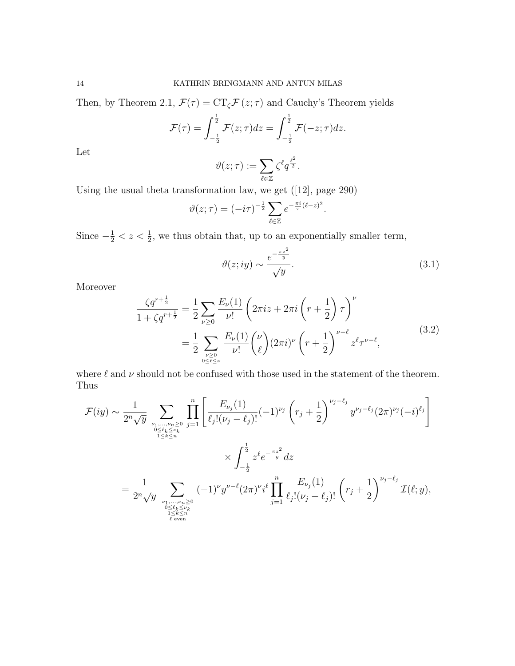Then, by Theorem 2.1,  $\mathcal{F}(\tau) = \mathrm{CT}_\zeta \mathcal{F}\left(z;\tau\right)$  and Cauchy's Theorem yields

$$
\mathcal{F}(\tau) = \int_{-\frac{1}{2}}^{\frac{1}{2}} \mathcal{F}(z;\tau) dz = \int_{-\frac{1}{2}}^{\frac{1}{2}} \mathcal{F}(-z;\tau) dz.
$$

Let

$$
\vartheta(z;\tau):=\sum_{\ell\in\mathbb{Z}}\zeta^\ell q^{\frac{\ell^2}{2}}.
$$

Using the usual theta transformation law, we get ([12], page 290)

$$
\vartheta(z;\tau) = (-i\tau)^{-\frac{1}{2}} \sum_{\ell \in \mathbb{Z}} e^{-\frac{\pi i}{\tau}(\ell-z)^2}.
$$

Since  $-\frac{1}{2} < z < \frac{1}{2}$ , we thus obtain that, up to an exponentially smaller term,

$$
\vartheta(z; iy) \sim \frac{e^{-\frac{\pi z^2}{y}}}{\sqrt{y}}.\tag{3.1}
$$

Moreover

$$
\frac{\zeta q^{r+\frac{1}{2}}}{1+\zeta q^{r+\frac{1}{2}}} = \frac{1}{2} \sum_{\nu \geq 0} \frac{E_{\nu}(1)}{\nu!} \left( 2\pi i z + 2\pi i \left( r + \frac{1}{2} \right) \tau \right)^{\nu} \n= \frac{1}{2} \sum_{\substack{\nu \geq 0 \\ 0 \leq \ell \leq \nu}} \frac{E_{\nu}(1)}{\nu!} {\nu \choose \ell} (2\pi i)^{\nu} \left( r + \frac{1}{2} \right)^{\nu-\ell} z^{\ell} \tau^{\nu-\ell},
$$
\n(3.2)

where  $\ell$  and  $\nu$  should not be confused with those used in the statement of the theorem. Thus

$$
\mathcal{F}(iy) \sim \frac{1}{2^n \sqrt{y}} \sum_{\substack{\nu_1, \dots, \nu_n \ge 0 \\ 0 \le \ell_k \le \nu_k \\ 1 \le k \le n}} \prod_{j=1}^n \left[ \frac{E_{\nu_j}(1)}{\ell_j! (\nu_j - \ell_j)!} (-1)^{\nu_j} \left( r_j + \frac{1}{2} \right)^{\nu_j - \ell_j} y^{\nu_j - \ell_j} (2\pi)^{\nu_j} (-i)^{\ell_j} \right]
$$

$$
\times \int_{-\frac{1}{2}}^{\frac{1}{2}} z^{\ell} e^{-\frac{\pi z^2}{y}} dz
$$

$$
= \frac{1}{2^n \sqrt{y}} \sum_{\substack{\nu_1, \dots, \nu_n \ge 0 \\ 0 \le \ell_k \le \nu_k \\ 1 \le k \le n \\ \ell \text{ even}}} (-1)^{\nu} y^{\nu - \ell} (2\pi)^{\nu} i^{\ell} \prod_{j=1}^n \frac{E_{\nu_j}(1)}{\ell_j! (\nu_j - \ell_j)!} \left( r_j + \frac{1}{2} \right)^{\nu_j - \ell_j} \mathcal{I}(\ell; y),
$$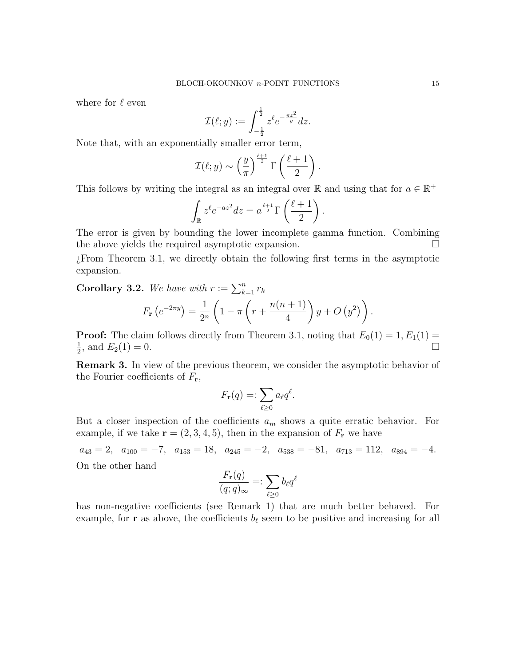where for  $\ell$  even

$$
\mathcal{I}(\ell; y) := \int_{-\frac{1}{2}}^{\frac{1}{2}} z^{\ell} e^{-\frac{\pi z^2}{y}} dz.
$$

Note that, with an exponentially smaller error term,

$$
\mathcal{I}(\ell; y) \sim \left(\frac{y}{\pi}\right)^{\frac{\ell+1}{2}} \Gamma\left(\frac{\ell+1}{2}\right).
$$

This follows by writing the integral as an integral over  $\mathbb R$  and using that for  $a \in \mathbb R^+$ 

$$
\int_{\mathbb{R}} z^{\ell} e^{-az^2} dz = a^{\frac{\ell+1}{2}} \Gamma\left(\frac{\ell+1}{2}\right).
$$

The error is given by bounding the lower incomplete gamma function. Combining the above yields the required asymptotic expansion.  $\Box$ 

¿From Theorem 3.1, we directly obtain the following first terms in the asymptotic expansion.

#### **Corollary 3.2.** We have with  $r := \sum_{k=1}^{n} r_k$  $F_{\mathbf{r}}\left(e^{-2\pi y}\right)=$ 1  $2^n$  $\sqrt{ }$  $1 - \pi$  $\sqrt{ }$  $r +$  $n(n+1)$ 4  $\setminus$  $y+O(y^2)$ .

**Proof:** The claim follows directly from Theorem 3.1, noting that  $E_0(1) = 1, E_1(1) =$ 1  $\frac{1}{2}$ , and  $E_2(1) = 0$ .

Remark 3. In view of the previous theorem, we consider the asymptotic behavior of the Fourier coefficients of  $F_{\mathbf{r}}$ ,

$$
F_{\mathbf{r}}(q) =: \sum_{\ell \ge 0} a_{\ell} q^{\ell}.
$$

But a closer inspection of the coefficients  $a_m$  shows a quite erratic behavior. For example, if we take  $\mathbf{r} = (2, 3, 4, 5)$ , then in the expansion of  $F_{\mathbf{r}}$  we have

 $a_{43} = 2$ ,  $a_{100} = -7$ ,  $a_{153} = 18$ ,  $a_{245} = -2$ ,  $a_{538} = -81$ ,  $a_{713} = 112$ ,  $a_{894} = -4$ . On the other hand

$$
\frac{F_{\mathbf{r}}(q)}{(q;q)_{\infty}} =: \sum_{\ell \ge 0} b_{\ell} q^{\ell}
$$

has non-negative coefficients (see Remark 1) that are much better behaved. For example, for **r** as above, the coefficients  $b_\ell$  seem to be positive and increasing for all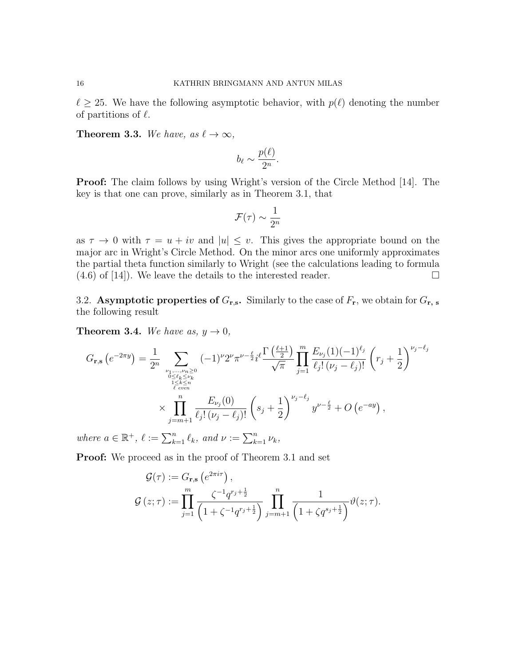$\ell \geq 25$ . We have the following asymptotic behavior, with  $p(\ell)$  denoting the number of partitions of  $\ell$ .

**Theorem 3.3.** We have, as  $\ell \to \infty$ ,

$$
b_{\ell} \sim \frac{p(\ell)}{2^n}.
$$

Proof: The claim follows by using Wright's version of the Circle Method [14]. The key is that one can prove, similarly as in Theorem 3.1, that

$$
\mathcal{F}(\tau)\sim \frac{1}{2^n}
$$

as  $\tau \to 0$  with  $\tau = u + iv$  and  $|u| \leq v$ . This gives the appropriate bound on the major arc in Wright's Circle Method. On the minor arcs one uniformly approximates the partial theta function similarly to Wright (see the calculations leading to formula  $(4.6)$  of [14]). We leave the details to the interested reader.

3.2. Asymptotic properties of  $G_{r,s}$ . Similarly to the case of  $F_r$ , we obtain for  $G_{r,s}$ the following result

**Theorem 3.4.** We have as,  $y \rightarrow 0$ ,

$$
G_{\mathbf{r},\mathbf{s}}\left(e^{-2\pi y}\right) = \frac{1}{2^n} \sum_{\substack{\nu_1,\dots,\nu_n \geq 0 \\ 0 \leq \ell_k \leq \nu_k \\ \ell \text{ even}}} (-1)^{\nu} 2^{\nu} \pi^{\nu - \frac{\ell}{2}} i^{\ell} \frac{\Gamma\left(\frac{\ell+1}{2}\right)}{\sqrt{\pi}} \prod_{j=1}^m \frac{E_{\nu_j}(1)(-1)^{\ell_j}}{\ell_j! \left(\nu_j - \ell_j\right)!} \left(r_j + \frac{1}{2}\right)^{\nu_j - \ell_j} \\
\times \prod_{j=m+1}^n \frac{E_{\nu_j}(0)}{\ell_j! \left(\nu_j - \ell_j\right)!} \left(s_j + \frac{1}{2}\right)^{\nu_j - \ell_j} y^{\nu - \frac{\ell}{2}} + O\left(e^{-ay}\right),
$$

where  $a \in \mathbb{R}^+$ ,  $\ell := \sum_{k=1}^n \ell_k$ , and  $\nu := \sum_{k=1}^n \nu_k$ ,

Proof: We proceed as in the proof of Theorem 3.1 and set

$$
\mathcal{G}(\tau) := G_{\mathbf{r}, \mathbf{s}} \left( e^{2\pi i \tau} \right), \n\mathcal{G}(z; \tau) := \prod_{j=1}^{m} \frac{\zeta^{-1} q^{r_j + \frac{1}{2}}}{\left( 1 + \zeta^{-1} q^{r_j + \frac{1}{2}} \right)} \prod_{j=m+1}^{n} \frac{1}{\left( 1 + \zeta q^{s_j + \frac{1}{2}} \right)} \vartheta(z; \tau).
$$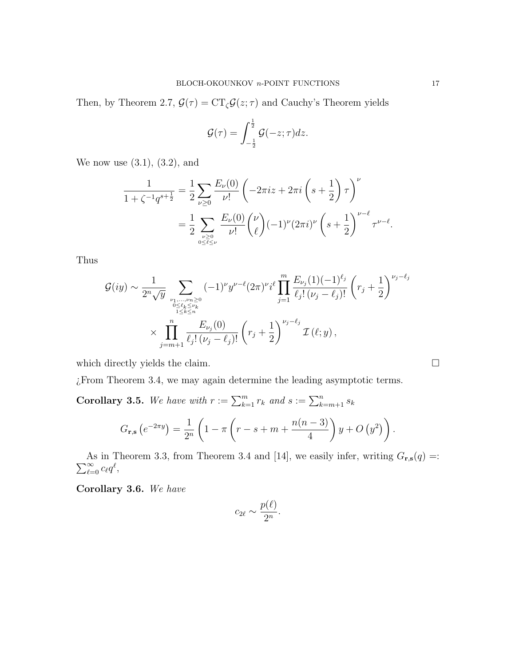Then, by Theorem 2.7,  $\mathcal{G}(\tau) = \text{CT}_{\zeta} \mathcal{G}(z;\tau)$  and Cauchy's Theorem yields

$$
\mathcal{G}(\tau) = \int_{-\frac{1}{2}}^{\frac{1}{2}} \mathcal{G}(-z;\tau) dz.
$$

We now use  $(3.1)$ ,  $(3.2)$ , and

$$
\frac{1}{1+\zeta^{-1}q^{s+\frac{1}{2}}} = \frac{1}{2} \sum_{\nu \ge 0} \frac{E_{\nu}(0)}{\nu!} \left( -2\pi i z + 2\pi i \left( s + \frac{1}{2} \right) \tau \right)^{\nu}
$$

$$
= \frac{1}{2} \sum_{\substack{\nu \ge 0 \\ 0 \le \ell \le \nu}} \frac{E_{\nu}(0)}{\nu!} {\nu \choose \ell} (-1)^{\nu} (2\pi i)^{\nu} \left( s + \frac{1}{2} \right)^{\nu - \ell} \tau^{\nu - \ell}.
$$

Thus

$$
\mathcal{G}(iy) \sim \frac{1}{2^n \sqrt{y}} \sum_{\substack{\nu_1, \dots, \nu_n \ge 0 \\ 0 \le \ell_k \le \nu_k \\ 1 \le k \le n}} (-1)^{\nu} y^{\nu - \ell} (2\pi)^{\nu} i^{\ell} \prod_{j=1}^m \frac{E_{\nu_j}(1)(-1)^{\ell_j}}{\ell_j! (\nu_j - \ell_j)!} \left( r_j + \frac{1}{2} \right)^{\nu_j - \ell_j} \times \prod_{j=m+1}^n \frac{E_{\nu_j}(0)}{\ell_j! (\nu_j - \ell_j)!} \left( r_j + \frac{1}{2} \right)^{\nu_j - \ell_j} \mathcal{I}(\ell; y),
$$

which directly yields the claim.  $\Box$ 

 $\chi$ From Theorem 3.4, we may again determine the leading asymptotic terms.

**Corollary 3.5.** We have with  $r := \sum_{k=1}^{m} r_k$  and  $s := \sum_{k=m+1}^{n} s_k$ 

$$
G_{\mathbf{r},\mathbf{s}}\left(e^{-2\pi y}\right) = \frac{1}{2^n} \left(1 - \pi \left(r - s + m + \frac{n(n-3)}{4}\right)y + O\left(y^2\right)\right).
$$

 $\sum$ As in Theorem 3.3, from Theorem 3.4 and [14], we easily infer, writing  $G_{\mathbf{r},\mathbf{s}}(q) =:$ <br> $\sum_{\ell=0}^{\infty} c_{\ell} q^{\ell}$ ,

Corollary 3.6. We have

$$
c_{2\ell} \sim \frac{p(\ell)}{2^n}.
$$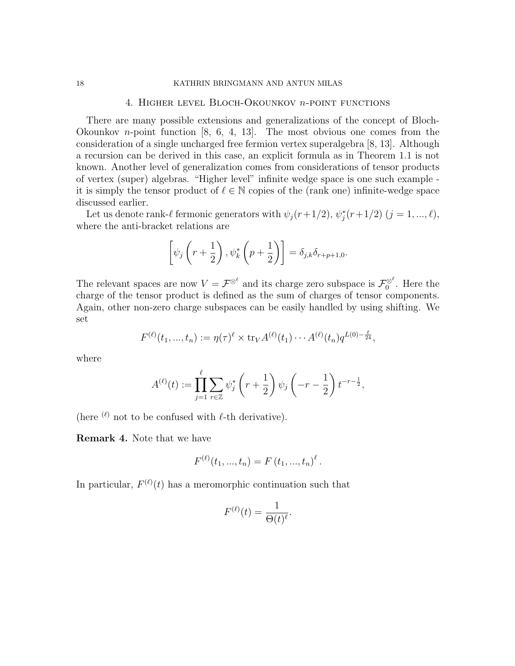#### 18 KATHRIN BRINGMANN AND ANTUN MILAS

## 4. Higher level Bloch-Okounkov n-point functions

There are many possible extensions and generalizations of the concept of Bloch-Okounkov *n*-point function  $[8, 6, 4, 13]$ . The most obvious one comes from the consideration of a single uncharged free fermion vertex superalgebra [8, 13]. Although a recursion can be derived in this case, an explicit formula as in Theorem 1.1 is not known. Another level of generalization comes from considerations of tensor products of vertex (super) algebras. "Higher level" infinite wedge space is one such example it is simply the tensor product of  $\ell \in \mathbb{N}$  copies of the (rank one) infinite-wedge space discussed earlier.

Let us denote rank- $\ell$  fermonic generators with  $\psi_j (r+1/2), \psi_j^* (r+1/2)$   $(j = 1, ..., \ell),$ where the anti-bracket relations are

$$
\left[\psi_j\left(r+\frac{1}{2}\right),\psi_k^*\left(p+\frac{1}{2}\right)\right]=\delta_{j,k}\delta_{r+p+1,0}.
$$

The relevant spaces are now  $V = \mathcal{F}^{\otimes^{\ell}}$  and its charge zero subspace is  $\mathcal{F}_0^{\otimes^{\ell}}$ . Here the charge of the tensor product is defined as the sum of charges of tensor components. Again, other non-zero charge subspaces can be easily handled by using shifting. We set

$$
F^{(\ell)}(t_1, ..., t_n) := \eta(\tau)^{\ell} \times \text{tr}_V A^{(\ell)}(t_1) \cdots A^{(\ell)}(t_n) q^{L(0) - \frac{\ell}{24}},
$$

where

$$
A^{(\ell)}(t) := \prod_{j=1}^{\ell} \sum_{r \in \mathbb{Z}} \psi_j^* \left( r + \frac{1}{2} \right) \psi_j \left( -r - \frac{1}{2} \right) t^{-r - \frac{1}{2}},
$$

(here  $^{(\ell)}$  not to be confused with  $\ell\text{-th}$  derivative).

Remark 4. Note that we have

$$
F^{(\ell)}(t_1, ..., t_n) = F(t_1, ..., t_n)^{\ell}.
$$

In particular,  $F^{(\ell)}(t)$  has a meromorphic continuation such that

$$
F^{(\ell)}(t) = \frac{1}{\Theta(t)^{\ell}}.
$$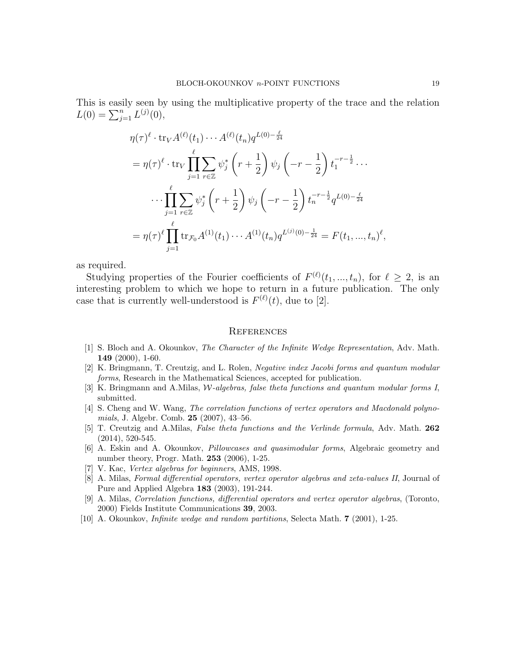This is easily seen by using the multiplicative property of the trace and the relation  $L(0) = \sum_{j=1}^{n} L^{(j)}(0),$ 

$$
\eta(\tau)^{\ell} \cdot \text{tr}_{V} A^{(\ell)}(t_{1}) \cdots A^{(\ell)}(t_{n}) q^{L(0) - \frac{\ell}{24}}
$$
\n
$$
= \eta(\tau)^{\ell} \cdot \text{tr}_{V} \prod_{j=1}^{\ell} \sum_{r \in \mathbb{Z}} \psi_{j}^{*} \left( r + \frac{1}{2} \right) \psi_{j} \left( -r - \frac{1}{2} \right) t_{1}^{-r - \frac{1}{2}} \cdots
$$
\n
$$
\cdots \prod_{j=1}^{\ell} \sum_{r \in \mathbb{Z}} \psi_{j}^{*} \left( r + \frac{1}{2} \right) \psi_{j} \left( -r - \frac{1}{2} \right) t_{n}^{-r - \frac{1}{2}} q^{L(0) - \frac{\ell}{24}}
$$
\n
$$
= \eta(\tau)^{\ell} \prod_{j=1}^{\ell} \text{tr}_{\mathcal{F}_{0}} A^{(1)}(t_{1}) \cdots A^{(1)}(t_{n}) q^{L^{(j)}(0) - \frac{1}{24}} = F(t_{1}, ..., t_{n})^{\ell},
$$

as required.

Studying properties of the Fourier coefficients of  $F^{(\ell)}(t_1, ..., t_n)$ , for  $\ell \geq 2$ , is an interesting problem to which we hope to return in a future publication. The only case that is currently well-understood is  $F^{(\ell)}(t)$ , due to [2].

#### **REFERENCES**

- [1] S. Bloch and A. Okounkov, The Character of the Infinite Wedge Representation, Adv. Math. 149 (2000), 1-60.
- [2] K. Bringmann, T. Creutzig, and L. Rolen, Negative index Jacobi forms and quantum modular forms, Research in the Mathematical Sciences, accepted for publication.
- [3] K. Bringmann and A.Milas, W-algebras, false theta functions and quantum modular forms I, submitted.
- [4] S. Cheng and W. Wang, The correlation functions of vertex operators and Macdonald polynomials, J. Algebr. Comb. 25 (2007), 43–56.
- [5] T. Creutzig and A.Milas, False theta functions and the Verlinde formula, Adv. Math. 262 (2014), 520-545.
- [6] A. Eskin and A. Okounkov, Pillowcases and quasimodular forms, Algebraic geometry and number theory, Progr. Math. 253 (2006), 1-25.
- [7] V. Kac, Vertex algebras for beginners, AMS, 1998.
- [8] A. Milas, Formal differential operators, vertex operator algebras and zeta-values II, Journal of Pure and Applied Algebra 183 (2003), 191-244.
- [9] A. Milas, Correlation functions, differential operators and vertex operator algebras, (Toronto, 2000) Fields Institute Communications 39, 2003.
- [10] A. Okounkov, Infinite wedge and random partitions, Selecta Math. 7 (2001), 1-25.